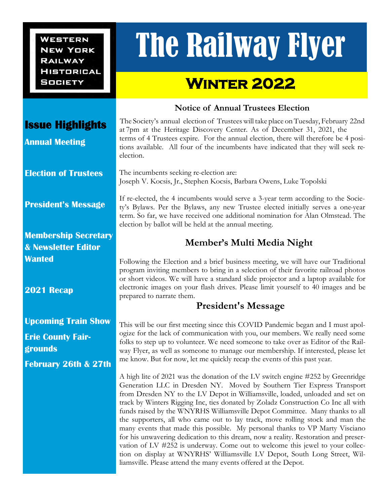**WESTERN NEW YORK RAILWAY HISTORICAL SOCIETY** 

# The Railway Flyer

## **Winter 2022**

#### **Notice of Annual Trustees Election**

 The Society's annual election of Trustees will take place on Tuesday, February 22nd at 7pm at the Heritage Discovery Center. As of December 31, 2021, the terms of 4 Trustees expire. For the annual election, there will therefore be 4 positions available. All four of the incumbents have indicated that they will seek reelection.

 $\overline{a}$ The incumbents seeking re-election are: Joseph V. Kocsis, Jr., Stephen Kocsis, Barbara Owens, Luke Topolski

If re-elected, the 4 incumbents would serve a 3-year term according to the Society's Bylaws. Per the Bylaws, any new Trustee elected initially serves a one-year term. So far, we have received one additional nomination for Alan Olmstead. The election by ballot will be held at the annual meeting.

### **Member's Multi Media Night**

Following the Election and a brief business meeting, we will have our Traditional program inviting members to bring in a selection of their favorite railroad photos or short videos. We will have a standard slide projector and a laptop available for electronic images on your flash drives. Please limit yourself to 40 images and be prepared to narrate them.

#### **President's Message**

This will be our first meeting since this COVID Pandemic began and I must apologize for the lack of communication with you, our members. We really need some folks to step up to volunteer. We need someone to take over as Editor of the Railway Flyer, as well as someone to manage our membership. If interested, please let me know. But for now, let me quickly recap the events of this past year.

A high lite of 2021 was the donation of the LV switch engine #252 by Greenridge Generation LLC in Dresden NY. Moved by Southern Tier Express Transport from Dresden NY to the LV Depot in Williamsville, loaded, unloaded and set on track by Winters Rigging Inc, ties donated by Zoladz Construction Co Inc all with funds raised by the WNYRHS Williamsville Depot Committee. Many thanks to all the supporters, all who came out to lay track, move rolling stock and man the many events that made this possible. My personal thanks to VP Marty Visciano for his unwavering dedication to this dream, now a reality. Restoration and preservation of LV #252 is underway. Come out to welcome this jewel to your collection on display at WNYRHS' Williamsville LV Depot, South Long Street, Williamsville. Please attend the many events offered at the Depot.

#### **Issue Highlights**

**Annual Meeting** 

**Election of Trustees**

**President's Message**

**Membership Secretary & Newsletter Editor Wanted**

**2021 Recap**

**Upcoming Train Show**

**Erie County Fairgrounds February 26th & 27th**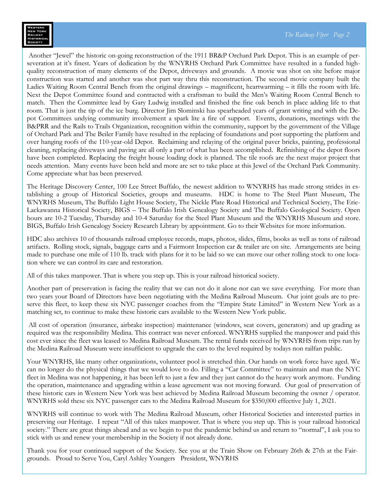Another "Jewel" the historic on-going reconstruction of the 1911 BR&P Orchard Park Depot. This is an example of perseveration at it's finest. Years of dedication by the WNYRHS Orchard Park Committee have resulted in a funded highquality reconstruction of many elements of the Depot, driveways and grounds. A movie was shot on site before major construction was started and another was shot part way thru this reconstruction. The second movie company built the Ladies Waiting Room Central Bench from the original drawings – magnificent, heartwarming – it fills the room with life. Next the Depot Committee found and contracted with a craftsman to build the Men's Waiting Room Central Bench to match. Then the Committee lead by Gary Ludwig installed and finished the fine oak bench in place adding life to that room. That is just the tip of the ice burg. Director Jim Slominski has spearheaded years of grant writing and with the Depot Committees undying community involvement a spark lite a fire of support. Events, donations, meetings with the B&PRR and the Rails to Trails Organization, recognition within the community, support by the government of the Village of Orchard Park and The Beiler Family have resulted in the replacing of foundations and post supporting the platform and over hanging roofs of the 110-year-old Depot. Reclaiming and relaying of the original paver bricks, painting, professional cleaning, replacing driveways and paving are all only a part of what has been accomplished. Refinishing of the depot floors have been completed. Replacing the freight house loading dock is planned. The tile roofs are the next major project that needs attention. Many events have been held and more are set to take place at this Jewel of the Orchard Park Community. Come appreciate what has been preserved.

The Heritage Discovery Center, 100 Lee Street Buffalo, the newest addition to WNYRHS has made strong strides in establishing a group of Historical Societies, groups and museums. HDC is home to The Steel Plant Museum, The WNYRHS Museum, The Buffalo Light House Society, The Nickle Plate Road Historical and Technical Society, The Erie-Lackawanna Historical Society, BIGS – The Buffalo Irish Genealogy Society and The Buffalo Geological Society. Open hours are 10-2 Tuesday, Thursday and 10-4 Saturday for the Steel Plant Museum and the WNYRHS Museum and store. BIGS, Buffalo Irish Genealogy Society Research Library by appointment. Go to their Websites for more information.

HDC also archives 10 of thousands railroad employee records, maps, photos, slides, films, books as well as tons of railroad artifacts. Rolling stock, signals, baggage carts and a Fairmont Inspection car & trailer are on site. Arrangements are being made to purchase one mile of 110 lb. track with plans for it to be laid so we can move our other rolling stock to one location where we can control its care and restoration.

All of this takes manpower. That is where you step up. This is your railroad historical society.

Another part of preservation is facing the reality that we can not do it alone nor can we save everything. For more than two years your Board of Directors have been negotiating with the Medina Railroad Museum. Our joint goals are to preserve this fleet, to keep these six NYC passenger coaches from the "Empire State Limited" in Western New York as a matching set, to continue to make these historic cars available to the Western New York public.

All cost of operation (insurance, airbrake inspection) maintenance (windows, seat covers, generators) and up grading as required was the responsibility Medina. This contract was never enforced. WNYRHS supplied the manpower and paid this cost ever since the fleet was leased to Medina Railroad Museum. The rental funds received by WNYRHS from trips run by the Medina Railroad Museum were insufficient to upgrade the cars to the level required by todays non railfan public.

Your WNYRHS, like many other organizations, volunteer pool is stretched thin. Our hands on work force have aged. We can no longer do the physical things that we would love to do. Filling a "Car Committee" to maintain and man the NYC fleet in Medina was not happening, it has been left to just a few and they just cannot do the heavy work anymore. Funding the operation, maintenance and upgrading within a lease agreement was not moving forward. Our goal of preservation of these historic cars in Western New York was best achieved by Medina Railroad Museum becoming the owner / operator. WNYRHS sold these six NYC passenger cars to the Medina Railroad Museum for \$350,000 effective July 1, 2021.

WNYRHS will continue to work with The Medina Railroad Museum, other Historical Societies and interested parties in preserving our Heritage. I repeat "All of this takes manpower. That is where you step up. This is your railroad historical society." There are great things ahead and as we begin to put the pandemic behind us and return to "normal", I ask you to stick with us and renew your membership in the Society if not already done.

Thank you for your continued support of the Society. See you at the Train Show on February 26th & 27th at the Fairgrounds. Proud to Serve You, Caryl Ashley Youngers President, WNYRHS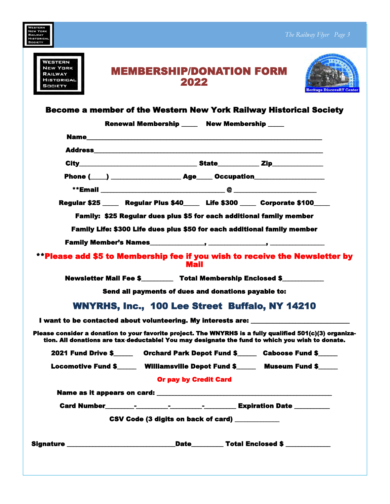| VESTERN<br><b>NEW YORK</b><br>RAILWAY<br>HISTORICAL<br><b>SOCIETY</b><br>WESTERN<br><b>NEW YORK</b><br><b>MEMBERSHIP/DONATION FORM</b><br>RAILWAY<br><b>HISTORICAL</b><br>2022<br>SOCIETY<br><b>Become a member of the Western New York Railway Historical Society</b><br>Renewal Membership _____ New Membership ____<br><b>Name Name Name <i>notation</i> <b><i>notation notation notation</i> <b><i>notation notation</i> <b><i>notation notation</i> </b></b></b></b><br>Phone (____) __________________________ Age______ Occupation____________________<br>Regular \$25 _____ Regular Plus \$40____ Life \$300 ____ Corporate \$100____<br>Family: \$25 Regular dues plus \$5 for each additional family member<br>Family Life: \$300 Life dues plus \$50 for each additional family member<br><b>**Please add \$5 to Membership fee if you wish to receive the Newsletter by</b><br><b>Mail</b><br>Newsletter Mail Fee \$__________ Total Membership Enclosed \$___________<br>Send all payments of dues and donations payable to:<br><b>WNYRHS, Inc., 100 Lee Street Buffalo, NY 14210</b><br>I want to be contacted about volunteering. My interests are: ___________________<br>tion. All donations are tax-deductable! You may designate the fund to which you wish to donate. | The Railway Flyer Page 3<br><b>Heritage DiscoveRY Cente:</b> |
|-------------------------------------------------------------------------------------------------------------------------------------------------------------------------------------------------------------------------------------------------------------------------------------------------------------------------------------------------------------------------------------------------------------------------------------------------------------------------------------------------------------------------------------------------------------------------------------------------------------------------------------------------------------------------------------------------------------------------------------------------------------------------------------------------------------------------------------------------------------------------------------------------------------------------------------------------------------------------------------------------------------------------------------------------------------------------------------------------------------------------------------------------------------------------------------------------------------------------------------------------------------------------------------------|--------------------------------------------------------------|
| Please consider a donation to your favorite project. The WNYRHS is a fully qualified 501(c)(3) organiza-                                                                                                                                                                                                                                                                                                                                                                                                                                                                                                                                                                                                                                                                                                                                                                                                                                                                                                                                                                                                                                                                                                                                                                                  |                                                              |
|                                                                                                                                                                                                                                                                                                                                                                                                                                                                                                                                                                                                                                                                                                                                                                                                                                                                                                                                                                                                                                                                                                                                                                                                                                                                                           |                                                              |
|                                                                                                                                                                                                                                                                                                                                                                                                                                                                                                                                                                                                                                                                                                                                                                                                                                                                                                                                                                                                                                                                                                                                                                                                                                                                                           |                                                              |
|                                                                                                                                                                                                                                                                                                                                                                                                                                                                                                                                                                                                                                                                                                                                                                                                                                                                                                                                                                                                                                                                                                                                                                                                                                                                                           |                                                              |
|                                                                                                                                                                                                                                                                                                                                                                                                                                                                                                                                                                                                                                                                                                                                                                                                                                                                                                                                                                                                                                                                                                                                                                                                                                                                                           |                                                              |
|                                                                                                                                                                                                                                                                                                                                                                                                                                                                                                                                                                                                                                                                                                                                                                                                                                                                                                                                                                                                                                                                                                                                                                                                                                                                                           |                                                              |
|                                                                                                                                                                                                                                                                                                                                                                                                                                                                                                                                                                                                                                                                                                                                                                                                                                                                                                                                                                                                                                                                                                                                                                                                                                                                                           |                                                              |
|                                                                                                                                                                                                                                                                                                                                                                                                                                                                                                                                                                                                                                                                                                                                                                                                                                                                                                                                                                                                                                                                                                                                                                                                                                                                                           |                                                              |
|                                                                                                                                                                                                                                                                                                                                                                                                                                                                                                                                                                                                                                                                                                                                                                                                                                                                                                                                                                                                                                                                                                                                                                                                                                                                                           |                                                              |
|                                                                                                                                                                                                                                                                                                                                                                                                                                                                                                                                                                                                                                                                                                                                                                                                                                                                                                                                                                                                                                                                                                                                                                                                                                                                                           |                                                              |
|                                                                                                                                                                                                                                                                                                                                                                                                                                                                                                                                                                                                                                                                                                                                                                                                                                                                                                                                                                                                                                                                                                                                                                                                                                                                                           |                                                              |
|                                                                                                                                                                                                                                                                                                                                                                                                                                                                                                                                                                                                                                                                                                                                                                                                                                                                                                                                                                                                                                                                                                                                                                                                                                                                                           |                                                              |
|                                                                                                                                                                                                                                                                                                                                                                                                                                                                                                                                                                                                                                                                                                                                                                                                                                                                                                                                                                                                                                                                                                                                                                                                                                                                                           |                                                              |
|                                                                                                                                                                                                                                                                                                                                                                                                                                                                                                                                                                                                                                                                                                                                                                                                                                                                                                                                                                                                                                                                                                                                                                                                                                                                                           |                                                              |
|                                                                                                                                                                                                                                                                                                                                                                                                                                                                                                                                                                                                                                                                                                                                                                                                                                                                                                                                                                                                                                                                                                                                                                                                                                                                                           |                                                              |
|                                                                                                                                                                                                                                                                                                                                                                                                                                                                                                                                                                                                                                                                                                                                                                                                                                                                                                                                                                                                                                                                                                                                                                                                                                                                                           |                                                              |
|                                                                                                                                                                                                                                                                                                                                                                                                                                                                                                                                                                                                                                                                                                                                                                                                                                                                                                                                                                                                                                                                                                                                                                                                                                                                                           |                                                              |
|                                                                                                                                                                                                                                                                                                                                                                                                                                                                                                                                                                                                                                                                                                                                                                                                                                                                                                                                                                                                                                                                                                                                                                                                                                                                                           |                                                              |
| 2021 Fund Drive \$________ Orchard Park Depot Fund \$______ Caboose Fund \$_____                                                                                                                                                                                                                                                                                                                                                                                                                                                                                                                                                                                                                                                                                                                                                                                                                                                                                                                                                                                                                                                                                                                                                                                                          |                                                              |
| Locomotive Fund \$_______ Williamsville Depot Fund \$_______ Museum Fund \$______                                                                                                                                                                                                                                                                                                                                                                                                                                                                                                                                                                                                                                                                                                                                                                                                                                                                                                                                                                                                                                                                                                                                                                                                         |                                                              |
| <b>Or pay by Credit Card</b>                                                                                                                                                                                                                                                                                                                                                                                                                                                                                                                                                                                                                                                                                                                                                                                                                                                                                                                                                                                                                                                                                                                                                                                                                                                              |                                                              |
|                                                                                                                                                                                                                                                                                                                                                                                                                                                                                                                                                                                                                                                                                                                                                                                                                                                                                                                                                                                                                                                                                                                                                                                                                                                                                           |                                                              |
|                                                                                                                                                                                                                                                                                                                                                                                                                                                                                                                                                                                                                                                                                                                                                                                                                                                                                                                                                                                                                                                                                                                                                                                                                                                                                           |                                                              |
| CSV Code (3 digits on back of card) __________                                                                                                                                                                                                                                                                                                                                                                                                                                                                                                                                                                                                                                                                                                                                                                                                                                                                                                                                                                                                                                                                                                                                                                                                                                            |                                                              |
|                                                                                                                                                                                                                                                                                                                                                                                                                                                                                                                                                                                                                                                                                                                                                                                                                                                                                                                                                                                                                                                                                                                                                                                                                                                                                           |                                                              |